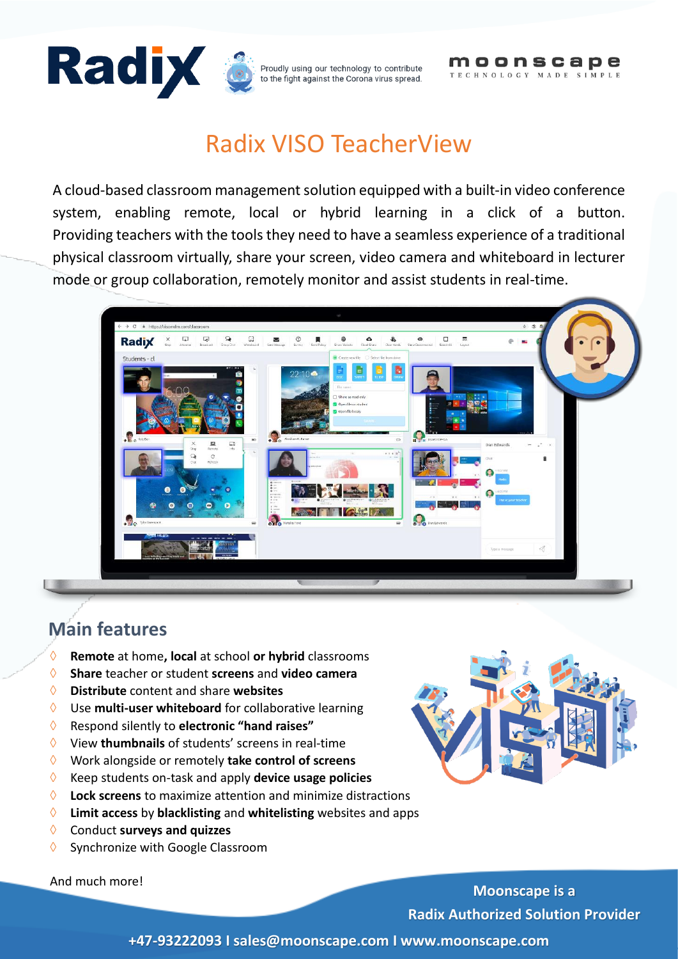



# Radix VISO TeacherView

A cloud-based classroom management solution equipped with a built-in video conference system, enabling remote, local or hybrid learning in a click of a button. Providing teachers with the tools they need to have a seamless experience of a traditional physical classroom virtually, share your screen, video camera and whiteboard in lecturer mode or group collaboration, remotely monitor and assist students in real-time.



## **Main features**

- **Remote** at home**, local** at school **or hybrid** classrooms
- **Share** teacher or student **screens** and **video camera**
- **Distribute** content and share **websites**
- Use **multi-user whiteboard** for collaborative learning
- Respond silently to **electronic "hand raises"**
- View **thumbnails** of students' screens in real-time
- Work alongside or remotely **take control of screens**
- Keep students on-task and apply **device usage policies**
- **Lock screens** to maximize attention and minimize distractions
- **Limit access** by **blacklisting** and **whitelisting** websites and apps
- Conduct **surveys and quizzes**
- $\Diamond$  Synchronize with Google Classroom

And much more!



**Moonscape is a Radix Authorized Solution Provider**

**+47-93222093 I sales@moonscape.com I www.moonscape.com**